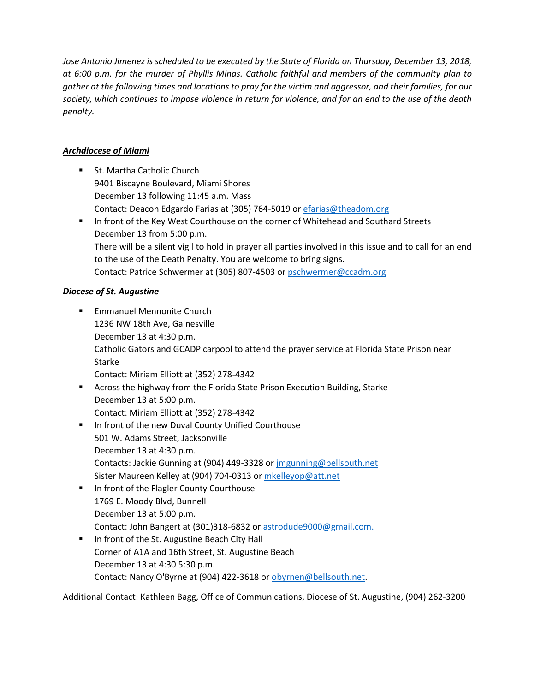*Jose Antonio Jimenez is scheduled to be executed by the State of Florida on Thursday, December 13, 2018, at 6:00 p.m. for the murder of Phyllis Minas. Catholic faithful and members of the community plan to gather at the following times and locations to pray for the victim and aggressor, and their families, for our society, which continues to impose violence in return for violence, and for an end to the use of the death penalty.* 

# *Archdiocese of Miami*

■ St. Martha Catholic Church 9401 Biscayne Boulevard, Miami Shores December 13 following 11:45 a.m. Mass Contact: Deacon Edgardo Farias at (305) 764-5019 or [efarias@theadom.org](mailto:efarias@theadom.org) In front of the Key West Courthouse on the corner of Whitehead and Southard Streets December 13 from 5:00 p.m. There will be a silent vigil to hold in prayer all parties involved in this issue and to call for an end to the use of the Death Penalty. You are welcome to bring signs.

Contact: Patrice Schwermer at (305) 807-4503 or [pschwermer@ccadm.org](mailto:pschwermer@ccadm.org)

## *Diocese of St. Augustine*

- **Emmanuel Mennonite Church** 1236 NW 18th Ave, Gainesville December 13 at 4:30 p.m. Catholic Gators and GCADP carpool to attend the prayer service at Florida State Prison near Starke Contact: Miriam Elliott at (352) 278-4342
- Across the highway from the Florida State Prison Execution Building, Starke December 13 at 5:00 p.m. Contact: Miriam Elliott at (352) 278-4342
- **IF In front of the new Duval County Unified Courthouse** 501 W. Adams Street, Jacksonville December 13 at 4:30 p.m. Contacts: Jackie Gunning at (904) 449-3328 or [jmgunning@bellsouth.net](mailto:jmgunning@bellsouth.net) Sister Maureen Kelley at (904) 704-0313 or [mkelleyop@att.net](mailto:mkelleyop@att.net)
- **IF In front of the Flagler County Courthouse** 1769 E. Moody Blvd, Bunnell December 13 at 5:00 p.m. Contact: John Bangert at (301)318-6832 or [astrodude9000@gmail.com.](mailto:astrodude9000@gmail.com)
- **IF In front of the St. Augustine Beach City Hall** Corner of A1A and 16th Street, St. Augustine Beach December 13 at 4:30 5:30 p.m. Contact: Nancy O'Byrne at (904) 422-3618 or [obyrnen@bellsouth.net.](mailto:obyrnen@bellsouth.net)

Additional Contact: Kathleen Bagg, Office of Communications, Diocese of St. Augustine, (904) 262-3200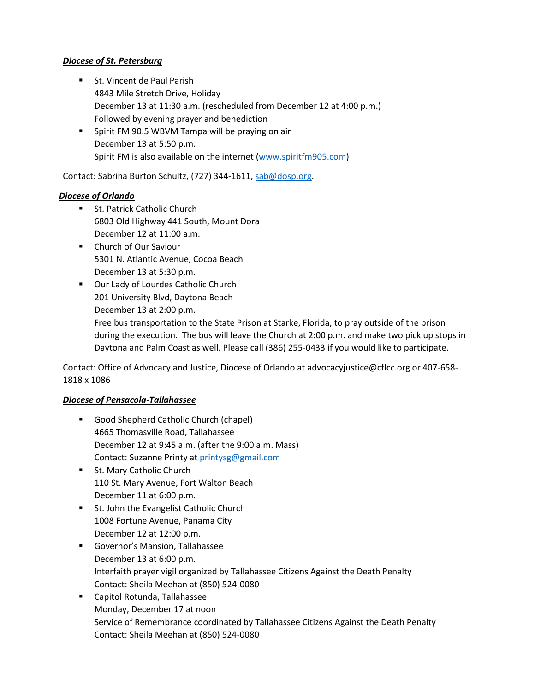## *Diocese of St. Petersburg*

- **St. Vincent de Paul Parish** 4843 Mile Stretch Drive, Holiday December 13 at 11:30 a.m. (rescheduled from December 12 at 4:00 p.m.) Followed by evening prayer and benediction
- **Spirit FM 90.5 WBVM Tampa will be praying on air** December 13 at 5:50 p.m. Spirit FM is also available on the internet [\(www.spiritfm905.com\)](http://www.spiritfm905.com/)

Contact: Sabrina Burton Schultz, (727) 344-1611, [sab@dosp.org.](mailto:sab@dosp.org)

## *Diocese of Orlando*

- **St. Patrick Catholic Church** 6803 Old Highway 441 South, Mount Dora December 12 at 11:00 a.m.
- **E** Church of Our Saviour 5301 N. Atlantic Avenue, Cocoa Beach December 13 at 5:30 p.m.
- **Dur Lady of Lourdes Catholic Church** 201 University Blvd, Daytona Beach December 13 at 2:00 p.m.

Free bus transportation to the State Prison at Starke, Florida, to pray outside of the prison during the execution. The bus will leave the Church at 2:00 p.m. and make two pick up stops in Daytona and Palm Coast as well. Please call (386) 255-0433 if you would like to participate.

Contact: Office of Advocacy and Justice, Diocese of Orlando at advocacyjustice@cflcc.org or 407-658- 1818 x 1086

## *Diocese of Pensacola-Tallahassee*

- Good Shepherd Catholic Church (chapel) 4665 Thomasville Road, Tallahassee December 12 at 9:45 a.m. (after the 9:00 a.m. Mass) Contact: Suzanne Printy at [printysg@gmail.com](mailto:printysg@gmail.com)
- **St. Mary Catholic Church** 110 St. Mary Avenue, Fort Walton Beach December 11 at 6:00 p.m.
- **St. John the Evangelist Catholic Church** 1008 Fortune Avenue, Panama City December 12 at 12:00 p.m.
- Governor's Mansion, Tallahassee December 13 at 6:00 p.m. Interfaith prayer vigil organized by Tallahassee Citizens Against the Death Penalty Contact: Sheila Meehan at (850) 524-0080
- Capitol Rotunda, Tallahassee Monday, December 17 at noon Service of Remembrance coordinated by Tallahassee Citizens Against the Death Penalty Contact: Sheila Meehan at (850) 524-0080